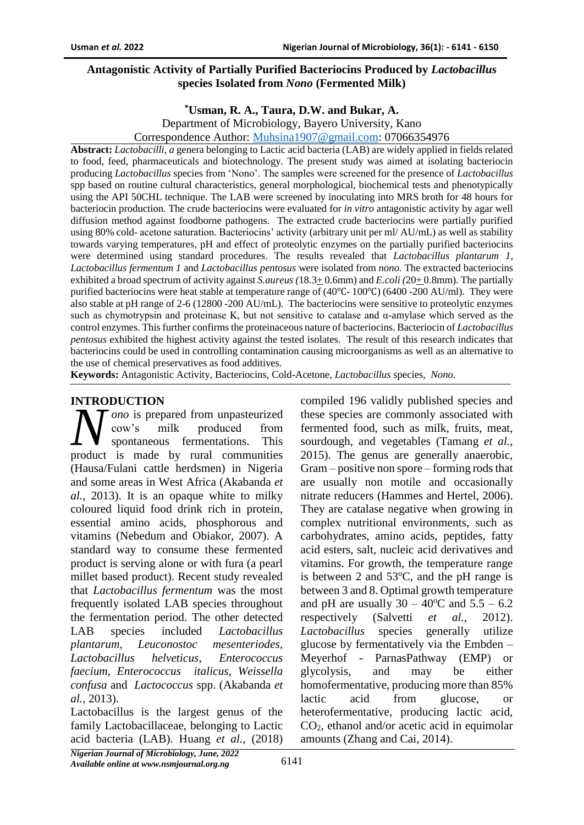# **Antagonistic Activity of Partially Purified Bacteriocins Produced by** *Lactobacillus*  **species Isolated from** *Nono* **(Fermented Milk)**

#### **\*Usman, R. A., Taura, D.W. and Bukar, A.**

Department of Microbiology, Bayero University, Kano

Correspondence Author: [Muhsina1907@gmail.com:](mailto:Muhsina1907@gmail.com) 07066354976

**Abstract:** *Lactobacilli, a* genera belonging to Lactic acid bacteria (LAB) are widely applied in fields related to food, feed, pharmaceuticals and biotechnology. The present study was aimed at isolating bacteriocin producing *Lactobacillus* species from 'Nono'. The samples were screened for the presence of *Lactobacillus*  spp based on routine cultural characteristics, general morphological, biochemical tests and phenotypically using the API 50CHL technique. The LAB were screened by inoculating into MRS broth for 48 hours for bacteriocin production. The crude bacteriocins were evaluated for *in vitro* antagonistic activity by agar well diffusion method against foodborne pathogens. The extracted crude bacteriocins were partially purified using 80% cold- acetone saturation. Bacteriocins' activity (arbitrary unit per ml/ AU/mL) as well as stability towards varying temperatures, pH and effect of proteolytic enzymes on the partially purified bacteriocins were determined using standard procedures. The results revealed that *Lactobacillus plantarum 1, Lactobacillus fermentum 1* and *Lactobacillus pentosus* were isolated from *nono.* The extracted bacteriocins exhibited a broad spectrum of activity against *S.aureus (*18.3+ 0.6mm) and *E.coli (*20+ 0.8mm). The partially purified bacteriocins were heat stable at temperature range of (40℃- 100℃) (6400 -200 AU/ml). They were also stable at pH range of 2-6 (12800 -200 AU/mL). The bacteriocins were sensitive to proteolytic enzymes such as chymotrypsin and proteinase K, but not sensitive to catalase and α-amylase which served as the control enzymes. This further confirms the proteinaceous nature of bacteriocins. Bacteriocin of *Lactobacillus pentosus* exhibited the highest activity against the tested isolates. The result of this research indicates that bacteriocins could be used in controlling contamination causing microorganisms as well as an alternative to the use of chemical preservatives as food additives.

**Keywords:** Antagonistic Activity, Bacteriocins, Cold-Acetone, *Lactobacillus* species, *Nono*.

# **INTRODUCTION**

*ono* is prepared from unpasteurized cow's milk produced from spontaneous fermentations. This **N** *ono* is prepared from unpasteurized<br>cow's milk produced from<br>product is made by rural communities (Hausa/Fulani cattle herdsmen) in Nigeria and some areas in West Africa (Akabanda *et al.,* 2013). It is an opaque white to milky coloured liquid food drink rich in protein, essential amino acids, phosphorous and vitamins (Nebedum and Obiakor, 2007). A standard way to consume these fermented product is serving alone or with fura (a pearl millet based product). Recent study revealed that *Lactobacillus fermentum* was the most frequently isolated LAB species throughout the fermentation period. The other detected LAB species included *Lactobacillus plantarum, Leuconostoc mesenteriodes, Lactobacillus helveticus*, *Enterococcus faecium, Enterococcus italicus, Weissella confusa* and *Lactococcus* spp. (Akabanda *et al.,* 2013).

Lactobacillus is the largest genus of the family Lactobacillaceae, belonging to Lactic acid bacteria (LAB). Huang *et al.,* (2018)

compiled 196 validly published species and these species are commonly associated with fermented food, such as milk, fruits, meat, sourdough, and vegetables (Tamang *et al.,* 2015). The genus are generally anaerobic, Gram – positive non spore – forming rods that are usually non motile and occasionally nitrate reducers (Hammes and Hertel, 2006). They are catalase negative when growing in complex nutritional environments, such as carbohydrates, amino acids, peptides, fatty acid esters, salt, nucleic acid derivatives and vitamins. For growth, the temperature range is between 2 and  $53^{\circ}$ C, and the pH range is between 3 and 8. Optimal growth temperature and pH are usually  $30 - 40^{\circ}\text{C}$  and  $5.5 - 6.2$ respectively (Salvetti *et al.,* 2012). *Lactobacillus* species generally utilize glucose by fermentatively via the Embden – Meyerhof - ParnasPathway (EMP) or glycolysis, and may be either homofermentative, producing more than 85% lactic acid from glucose, or heterofermentative, producing lactic acid, CO2, ethanol and/or acetic acid in equimolar amounts (Zhang and Cai, 2014).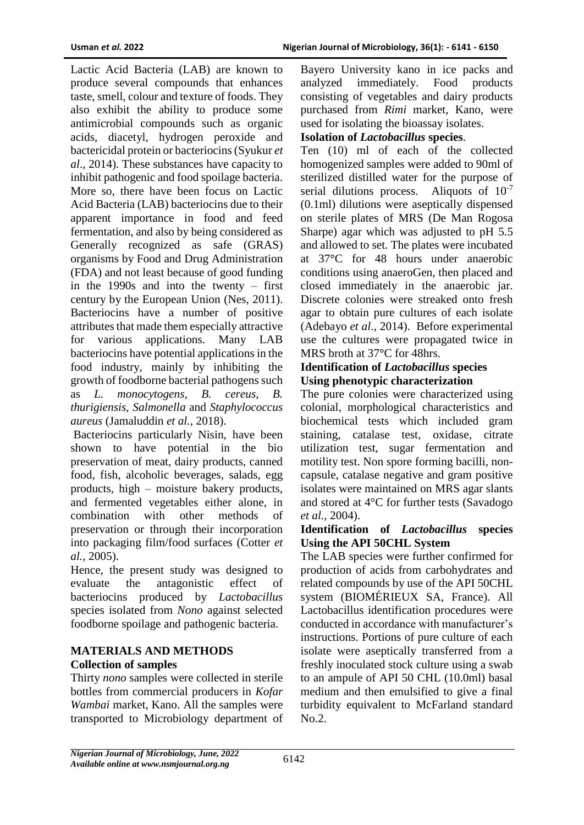Lactic Acid Bacteria (LAB) are known to produce several compounds that enhances taste, smell, colour and texture of foods. They also exhibit the ability to produce some antimicrobial compounds such as organic acids, diacetyl, hydrogen peroxide and bactericidal protein or bacteriocins (Syukur *et al*., 2014). These substances have capacity to inhibit pathogenic and food spoilage bacteria. More so, there have been focus on Lactic Acid Bacteria (LAB) bacteriocins due to their apparent importance in food and feed fermentation, and also by being considered as Generally recognized as safe (GRAS) organisms by Food and Drug Administration (FDA) and not least because of good funding in the 1990s and into the twenty – first century by the European Union (Nes, 2011). Bacteriocins have a number of positive attributes that made them especially attractive for various applications. Many LAB bacteriocins have potential applications in the food industry, mainly by inhibiting the growth of foodborne bacterial pathogens such as *L. monocytogens, B. cereus, B. thurigiensis, Salmonella* and *Staphylococcus aureus* (Jamaluddin *et al.,* 2018).

Bacteriocins particularly Nisin, have been shown to have potential in the bio preservation of meat, dairy products, canned food, fish, alcoholic beverages, salads, egg products, high – moisture bakery products, and fermented vegetables either alone, in combination with other methods of preservation or through their incorporation into packaging film/food surfaces (Cotter *et al.,* 2005).

Hence, the present study was designed to evaluate the antagonistic effect of bacteriocins produced by *Lactobacillus*  species isolated from *Nono* against selected foodborne spoilage and pathogenic bacteria.

# **MATERIALS AND METHODS Collection of samples**

Thirty *nono* samples were collected in sterile bottles from commercial producers in *Kofar Wambai* market, Kano. All the samples were transported to Microbiology department of

Bayero University kano in ice packs and analyzed immediately. Food products consisting of vegetables and dairy products purchased from *Rimi* market, Kano, were used for isolating the bioassay isolates.

# **Isolation of** *Lactobacillus* **species**.

Ten (10) ml of each of the collected homogenized samples were added to 90ml of sterilized distilled water for the purpose of serial dilutions process. Aliquots of  $10^{-7}$ (0.1ml) dilutions were aseptically dispensed on sterile plates of MRS (De Man Rogosa Sharpe) agar which was adjusted to pH 5.5 and allowed to set. The plates were incubated at 37**°**C for 48 hours under anaerobic conditions using anaeroGen, then placed and closed immediately in the anaerobic jar. Discrete colonies were streaked onto fresh agar to obtain pure cultures of each isolate (Adebayo *et al*., 2014). Before experimental use the cultures were propagated twice in MRS broth at 37**°**C for 48hrs.

### **Identification of** *Lactobacillus* **species Using phenotypic characterization**

The pure colonies were characterized using colonial, morphological characteristics and biochemical tests which included gram staining, catalase test, oxidase, citrate utilization test, sugar fermentation and motility test. Non spore forming bacilli, noncapsule, catalase negative and gram positive isolates were maintained on MRS agar slants and stored at 4°C for further tests (Savadogo *et al.,* 2004).

### **Identification of** *Lactobacillus* **species Using the API 50CHL System**

The LAB species were further confirmed for production of acids from carbohydrates and related compounds by use of the API 50CHL system (BIOMÉRIEUX SA, France). All Lactobacillus identification procedures were conducted in accordance with manufacturer's instructions. Portions of pure culture of each isolate were aseptically transferred from a freshly inoculated stock culture using a swab to an ampule of API 50 CHL (10.0ml) basal medium and then emulsified to give a final turbidity equivalent to McFarland standard No.2.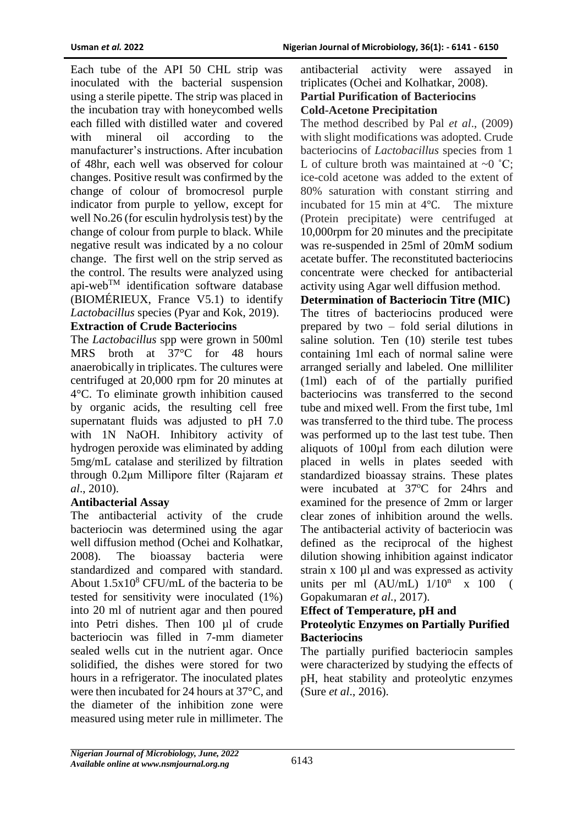Each tube of the API 50 CHL strip was inoculated with the bacterial suspension using a sterile pipette. The strip was placed in the incubation tray with honeycombed wells each filled with distilled water and covered with mineral oil according to the manufacturer's instructions. After incubation of 48hr, each well was observed for colour changes. Positive result was confirmed by the change of colour of bromocresol purple indicator from purple to yellow, except for well No.26 (for esculin hydrolysis test) by the change of colour from purple to black. While negative result was indicated by a no colour change. The first well on the strip served as the control. The results were analyzed using api-webTM identification software database (BIOMÉRIEUX, France V5.1) to identify *Lactobacillus* species (Pyar and Kok, 2019).

# **Extraction of Crude Bacteriocins**

The *Lactobacillus* spp were grown in 500ml MRS broth at 37°C for 48 hours anaerobically in triplicates. The cultures were centrifuged at 20,000 rpm for 20 minutes at 4°C. To eliminate growth inhibition caused by organic acids, the resulting cell free supernatant fluids was adjusted to pH 7.0 with 1N NaOH. Inhibitory activity of hydrogen peroxide was eliminated by adding 5mg/mL catalase and sterilized by filtration through 0.2μm Millipore filter (Rajaram *et al*., 2010).

# **Antibacterial Assay**

The antibacterial activity of the crude bacteriocin was determined using the agar well diffusion method (Ochei and Kolhatkar, 2008). The bioassay bacteria were standardized and compared with standard. About  $1.5x10^8$  CFU/mL of the bacteria to be tested for sensitivity were inoculated (1%) into 20 ml of nutrient agar and then poured into Petri dishes. Then 100 µl of crude bacteriocin was filled in 7-mm diameter sealed wells cut in the nutrient agar. Once solidified, the dishes were stored for two hours in a refrigerator. The inoculated plates were then incubated for 24 hours at 37°C, and the diameter of the inhibition zone were measured using meter rule in millimeter. The

antibacterial activity were assayed in triplicates (Ochei and Kolhatkar, 2008). **Partial Purification of Bacteriocins Cold-Acetone Precipitation**

The method described by Pal *et al*., (2009) with slight modifications was adopted. Crude bacteriocins of *Lactobacillus* species from 1 L of culture broth was maintained at  $\sim 0$  °C; ice-cold acetone was added to the extent of 80% saturation with constant stirring and incubated for 15 min at 4℃. The mixture (Protein precipitate) were centrifuged at 10,000rpm for 20 minutes and the precipitate was re-suspended in 25ml of 20mM sodium acetate buffer. The reconstituted bacteriocins concentrate were checked for antibacterial activity using Agar well diffusion method.

**Determination of Bacteriocin Titre (MIC)** The titres of bacteriocins produced were prepared by two – fold serial dilutions in saline solution. Ten (10) sterile test tubes containing 1ml each of normal saline were arranged serially and labeled. One milliliter (1ml) each of of the partially purified bacteriocins was transferred to the second tube and mixed well. From the first tube, 1ml was transferred to the third tube. The process was performed up to the last test tube. Then aliquots of 100µl from each dilution were placed in wells in plates seeded with standardized bioassay strains. These plates were incubated at 37°C for 24hrs and examined for the presence of 2mm or larger clear zones of inhibition around the wells. The antibacterial activity of bacteriocin was defined as the reciprocal of the highest dilution showing inhibition against indicator strain x 100 µl and was expressed as activity units per ml  $(AU/mL)$   $1/10^n$  x 100 ( Gopakumaran *et al.,* 2017).

## **Effect of Temperature, pH and Proteolytic Enzymes on Partially Purified Bacteriocins**

The partially purified bacteriocin samples were characterized by studying the effects of pH, heat stability and proteolytic enzymes (Sure *et al*., 2016).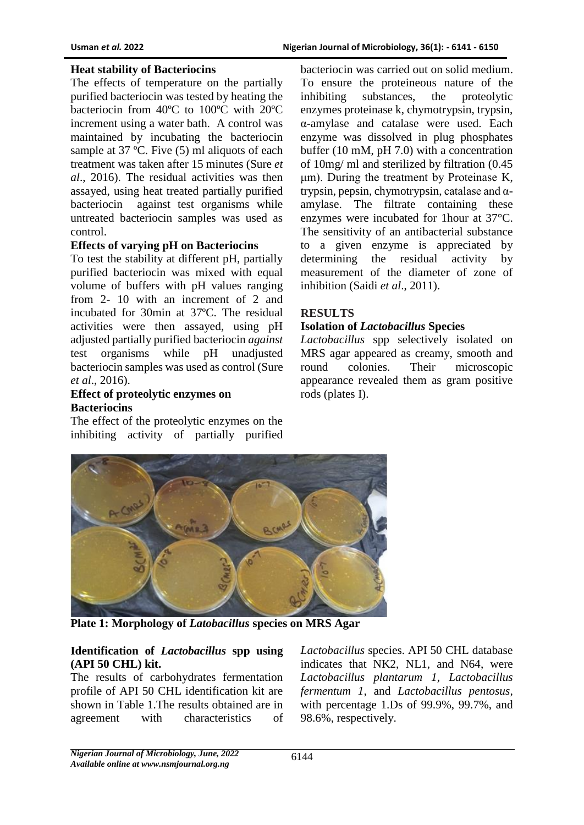#### **Heat stability of Bacteriocins**

The effects of temperature on the partially purified bacteriocin was tested by heating the bacteriocin from 40ºC to 100ºC with 20ºC increment using a water bath. A control was maintained by incubating the bacteriocin sample at 37 °C. Five (5) ml aliquots of each treatment was taken after 15 minutes (Sure *et al*., 2016). The residual activities was then assayed, using heat treated partially purified bacteriocin against test organisms while untreated bacteriocin samples was used as control.

#### **Effects of varying pH on Bacteriocins**

To test the stability at different pH, partially purified bacteriocin was mixed with equal volume of buffers with pH values ranging from 2- 10 with an increment of 2 and incubated for 30min at 37ºC. The residual activities were then assayed, using pH adjusted partially purified bacteriocin *against* test organisms while pH unadjusted bacteriocin samples was used as control (Sure *et al*., 2016).

## **Effect of proteolytic enzymes on Bacteriocins**

The effect of the proteolytic enzymes on the inhibiting activity of partially purified

bacteriocin was carried out on solid medium. To ensure the proteineous nature of the inhibiting substances, the proteolytic enzymes proteinase k, chymotrypsin, trypsin, α-amylase and catalase were used. Each enzyme was dissolved in plug phosphates buffer (10 mM, pH 7.0) with a concentration of 10mg/ ml and sterilized by filtration (0.45 μm). During the treatment by Proteinase K, trypsin, pepsin, chymotrypsin, catalase and αamylase. The filtrate containing these enzymes were incubated for 1hour at 37°C. The sensitivity of an antibacterial substance to a given enzyme is appreciated by determining the residual activity by measurement of the diameter of zone of inhibition (Saidi *et al*., 2011).

### **RESULTS**

#### **Isolation of** *Lactobacillus* **Species**

*Lactobacillus* spp selectively isolated on MRS agar appeared as creamy, smooth and round colonies. Their microscopic appearance revealed them as gram positive rods (plates I).



**Plate 1: Morphology of** *Latobacillus* **species on MRS Agar**

#### **Identification of** *Lactobacillus* **spp using (API 50 CHL) kit.**

The results of carbohydrates fermentation profile of API 50 CHL identification kit are shown in Table 1.The results obtained are in agreement with characteristics of

*Lactobacillus* species. API 50 CHL database indicates that NK2, NL1, and N64, were *Lactobacillus plantarum 1, Lactobacillus fermentum 1,* and *Lactobacillus pentosus,*  with percentage 1.Ds of 99.9%, 99.7%, and 98.6%, respectively.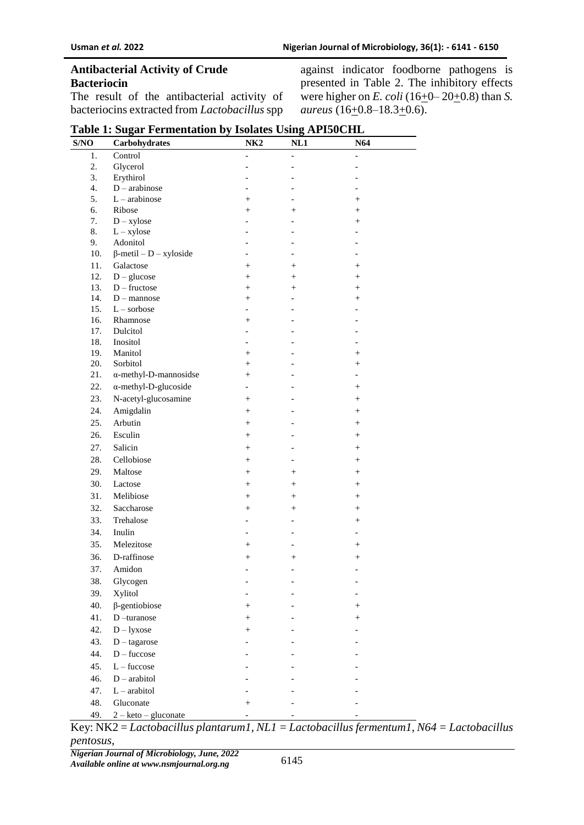## **Antibacterial Activity of Crude Bacteriocin**

The result of the antibacterial activity of bacteriocins extracted from *Lactobacillus* spp

|                                              |                                              | against indicator foodborne pathogens is     |  |  |  |
|----------------------------------------------|----------------------------------------------|----------------------------------------------|--|--|--|
|                                              |                                              | presented in Table 2. The inhibitory effects |  |  |  |
| were higher on E. coli (16+0-20+0.8) than S. |                                              |                                              |  |  |  |
|                                              | <i>aureus</i> (16 $\pm$ 0.8–18.3 $\pm$ 0.6). |                                              |  |  |  |

| S/NO | Carbohydrates                 | NK <sub>2</sub> | NL1               | N64                |  |
|------|-------------------------------|-----------------|-------------------|--------------------|--|
| 1.   | Control                       |                 |                   |                    |  |
| 2.   | Glycerol                      |                 |                   |                    |  |
| 3.   | Erythirol                     |                 |                   |                    |  |
| 4.   | $D$ – arabinose               |                 |                   |                    |  |
| 5.   | $L$ – arabinose               | $^{+}$          |                   | $^{+}$             |  |
| 6.   | Ribose                        | $\ddot{}$       | $+$               | $\ddot{}$          |  |
| 7.   | $D - xylose$                  |                 |                   | $^{+}$             |  |
| 8.   | $L - xylose$                  |                 |                   |                    |  |
| 9.   | Adonitol                      |                 |                   |                    |  |
| 10.  | $\beta$ -metil – D – xyloside |                 |                   |                    |  |
| 11.  | Galactose                     | $^{+}$          | $^{+}$            | $^{+}$             |  |
| 12.  | $D - glucose$                 | $^{+}$          | $+$               | $^{+}$             |  |
| 13.  | $D$ – fructose                | $^{+}$          | $^{+}$            | $^{+}$             |  |
| 14.  | $D$ – mannose                 | $\ddot{}$       | $\overline{a}$    | $\ddot{}$          |  |
| 15.  | $L$ – sorbose                 |                 |                   |                    |  |
| 16.  | Rhamnose                      | $^{+}$          |                   |                    |  |
| 17.  | Dulcitol                      |                 |                   |                    |  |
| 18.  | Inositol                      | $\overline{a}$  |                   |                    |  |
| 19.  | Manitol                       | $^{+}$          |                   | $^{+}$             |  |
| 20.  | Sorbitol                      | $^{+}$          |                   | $^{+}$             |  |
| 21.  | $\alpha$ -methyl-D-mannosidse | $^{+}$          |                   |                    |  |
| 22.  | $\alpha$ -methyl-D-glucoside  |                 |                   | $^{+}$             |  |
| 23.  | N-acetyl-glucosamine          | $^{+}$          |                   | $^{+}$             |  |
| 24.  | Amigdalin                     | $^{+}$          |                   | $^{+}$             |  |
| 25.  | Arbutin                       | $^{+}$          |                   | $^{+}$             |  |
| 26.  | Esculin                       | $^{+}$          |                   | $^{+}$             |  |
| 27.  | Salicin                       | $^{+}$          |                   | $^{+}$             |  |
| 28.  | Cellobiose                    | $^{+}$          | $\qquad \qquad -$ | $^{+}$             |  |
| 29.  | Maltose                       | $^{+}$          | $^{+}$            |                    |  |
|      |                               |                 |                   | $^{+}$             |  |
| 30.  | Lactose                       | $^{+}$          | $^{+}$            | $^{+}$             |  |
| 31.  | Melibiose                     | $^{+}$          | $+$               | $^{+}$             |  |
| 32.  | Saccharose                    | $^{+}$          | $^{+}$            | $^{+}$             |  |
| 33.  | Trehalose                     |                 |                   | $^{+}$             |  |
| 34.  | Inulin                        |                 |                   |                    |  |
| 35.  | Melezitose                    | $^{+}$          |                   | $^{+}$             |  |
| 36.  | D-raffinose                   | $^{+}$          | $^{+}$            | $^{+}$             |  |
| 37.  | Amidon                        |                 |                   |                    |  |
| 38.  | Glycogen                      |                 |                   |                    |  |
| 39.  | Xylitol                       |                 |                   |                    |  |
| 40.  | $\beta$ -gentiobiose          | $^{+}$          |                   |                    |  |
|      |                               |                 |                   | $\hskip 0.025cm +$ |  |
| 41.  | D-turanose                    | $^{+}$          |                   |                    |  |
| 42.  | $D$ – lyxose                  | $^{+}$          |                   |                    |  |
| 43.  | $D$ – tagarose                |                 |                   |                    |  |
| 44.  | $D$ – fuccose                 |                 |                   |                    |  |
| 45.  | $L$ – fuccose                 |                 |                   |                    |  |
| 46.  | $D - arabitol$                |                 |                   |                    |  |
| 47.  | $L - arabitol$                |                 |                   |                    |  |
| 48.  | Gluconate                     | $^{+}$          |                   |                    |  |
| 49.  | $2 - keto - gluconate$        |                 |                   |                    |  |

# **Table 1: Sugar Fermentation by Isolates Using API50CHL**

Key: NK2 = *Lactobacillus plantarum1, NL1 = Lactobacillus fermentum1, N64 = Lactobacillus pentosus,*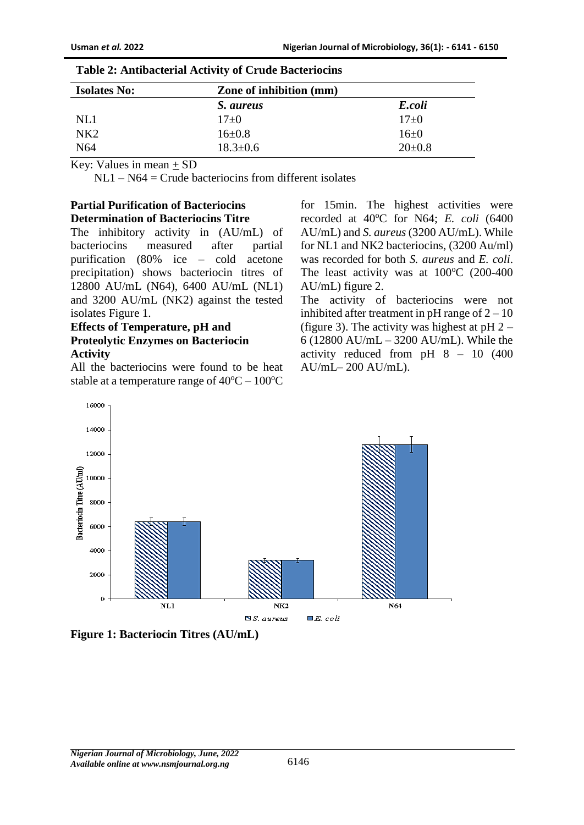| <b>Isolates No:</b> | <b>Zone of inhibition (mm)</b> |              |  |
|---------------------|--------------------------------|--------------|--|
|                     | <i>S. aureus</i>               | E.coli       |  |
| NL1                 | $17+0$                         | $17+0$       |  |
| NK2                 | $16 \pm 0.8$                   | $16 \pm 0$   |  |
| N64                 | $18.3 \pm 0.6$                 | $20 \pm 0.8$ |  |

#### **Table 2: Antibacterial Activity of Crude Bacteriocins**

Key: Values in mean + SD

 $NL1 - N64 =$  Crude bacteriocins from different isolates

### **Partial Purification of Bacteriocins Determination of Bacteriocins Titre**

The inhibitory activity in (AU/mL) of bacteriocins measured after partial purification (80% ice – cold acetone precipitation) shows bacteriocin titres of 12800 AU/mL (N64), 6400 AU/mL (NL1) and 3200 AU/mL (NK2) against the tested isolates Figure 1.

# **Effects of Temperature, pH and Proteolytic Enzymes on Bacteriocin Activity**

All the bacteriocins were found to be heat stable at a temperature range of  $40^{\circ}C - 100^{\circ}C$ 

for 15min. The highest activities were recorded at 40°C for N64; *E. coli* (6400 AU/mL) and *S. aureus* (3200 AU/mL). While for NL1 and NK2 bacteriocins, (3200 Au/ml) was recorded for both *S. aureus* and *E. coli*. The least activity was at  $100^{\circ}$ C (200-400) AU/mL) figure 2.

The activity of bacteriocins were not inhibited after treatment in pH range of  $2 - 10$ (figure 3). The activity was highest at  $pH 2 -$ 6 (12800 AU/mL – 3200 AU/mL). While the activity reduced from pH 8 – 10 (400 AU/mL– 200 AU/mL).



**Figure 1: Bacteriocin Titres (AU/mL)**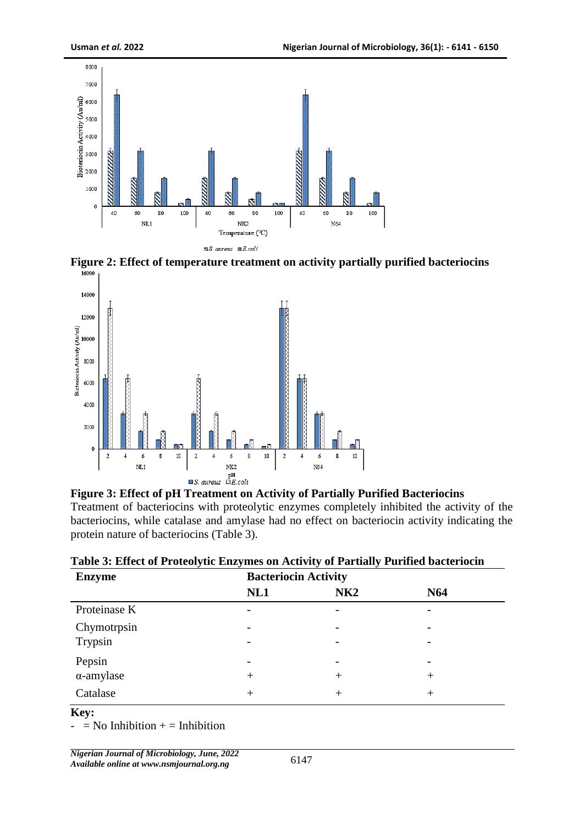

**Figure 2: Effect of temperature treatment on activity partially purified bacteriocins** 





| <b>Enzyme</b>     | <b>Bacteriocin Activity</b> |      |                          |  |
|-------------------|-----------------------------|------|--------------------------|--|
|                   | NL1                         | NK2  | N <sub>64</sub>          |  |
| Proteinase K      |                             |      |                          |  |
| Chymotrpsin       | $\overline{\phantom{0}}$    |      | $\overline{\phantom{0}}$ |  |
| Trypsin           | $\overline{\phantom{0}}$    |      |                          |  |
| Pepsin            | $\overline{\phantom{0}}$    |      |                          |  |
| $\alpha$ -amylase | $^{+}$                      | $^+$ | $^+$                     |  |
| Catalase          | $\,+\,$                     | $^+$ | +                        |  |

#### **Key:**

 $-$  = No Inhibition  $+$  = Inhibition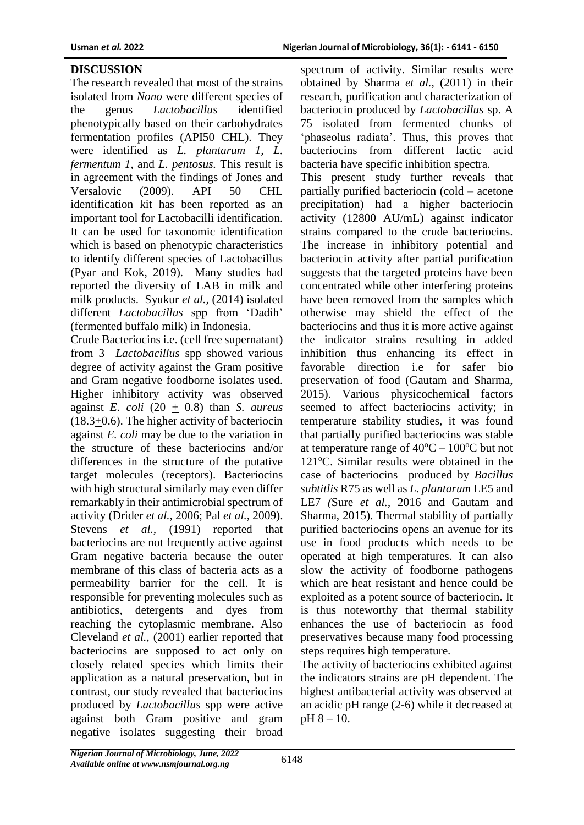# **DISCUSSION**

The research revealed that most of the strains isolated from *Nono* were different species of the genus *Lactobacillus* identified phenotypically based on their carbohydrates fermentation profiles (API50 CHL). They were identified as *L. plantarum 1, L. fermentum 1,* and *L. pentosus.* This result is in agreement with the findings of Jones and Versalovic (2009). API 50 CHL identification kit has been reported as an important tool for Lactobacilli identification. It can be used for taxonomic identification which is based on phenotypic characteristics to identify different species of Lactobacillus (Pyar and Kok, 2019). Many studies had reported the diversity of LAB in milk and milk products. Syukur *et al.,* (2014) isolated different *Lactobacillus* spp from 'Dadih' (fermented buffalo milk) in Indonesia.

Crude Bacteriocins i.e. (cell free supernatant) from 3 *Lactobacillus* spp showed various degree of activity against the Gram positive and Gram negative foodborne isolates used. Higher inhibitory activity was observed against *E. coli* (20 + 0.8) than *S. aureus*  $(18.3+0.6)$ . The higher activity of bacteriocin against *E. coli* may be due to the variation in the structure of these bacteriocins and/or differences in the structure of the putative target molecules (receptors). Bacteriocins with high structural similarly may even differ remarkably in their antimicrobial spectrum of activity (Drider *et al.,* 2006; Pal *et al.,* 2009). Stevens *et al.*, (1991) reported that bacteriocins are not frequently active against Gram negative bacteria because the outer membrane of this class of bacteria acts as a permeability barrier for the cell. It is responsible for preventing molecules such as antibiotics, detergents and dyes from reaching the cytoplasmic membrane. Also Cleveland *et al.,* (2001) earlier reported that bacteriocins are supposed to act only on closely related species which limits their application as a natural preservation, but in contrast, our study revealed that bacteriocins produced by *Lactobacillus* spp were active against both Gram positive and gram negative isolates suggesting their broad

spectrum of activity. Similar results were obtained by Sharma *et al.,* (2011) in their research, purification and characterization of bacteriocin produced by *Lactobacillus* sp. A 75 isolated from fermented chunks of 'phaseolus radiata'. Thus, this proves that bacteriocins from different lactic acid bacteria have specific inhibition spectra. This present study further reveals that partially purified bacteriocin (cold – acetone precipitation) had a higher bacteriocin activity (12800 AU/mL) against indicator strains compared to the crude bacteriocins. The increase in inhibitory potential and bacteriocin activity after partial purification suggests that the targeted proteins have been concentrated while other interfering proteins have been removed from the samples which otherwise may shield the effect of the bacteriocins and thus it is more active against the indicator strains resulting in added inhibition thus enhancing its effect in favorable direction i.e for safer bio preservation of food (Gautam and Sharma, 2015). Various physicochemical factors seemed to affect bacteriocins activity; in temperature stability studies, it was found that partially purified bacteriocins was stable at temperature range of  $40^{\circ}$ C –  $100^{\circ}$ C but not  $121^{\circ}$ C. Similar results were obtained in the case of bacteriocins produced by *Bacillus subtitlis* R75 as well as *L. plantarum* LE5 and LE7 *(*Sure *et al.,* 2016 and Gautam and Sharma, 2015). Thermal stability of partially purified bacteriocins opens an avenue for its use in food products which needs to be operated at high temperatures. It can also slow the activity of foodborne pathogens which are heat resistant and hence could be exploited as a potent source of bacteriocin. It is thus noteworthy that thermal stability enhances the use of bacteriocin as food preservatives because many food processing steps requires high temperature.

The activity of bacteriocins exhibited against the indicators strains are pH dependent. The highest antibacterial activity was observed at an acidic pH range (2-6) while it decreased at pH 8 – 10.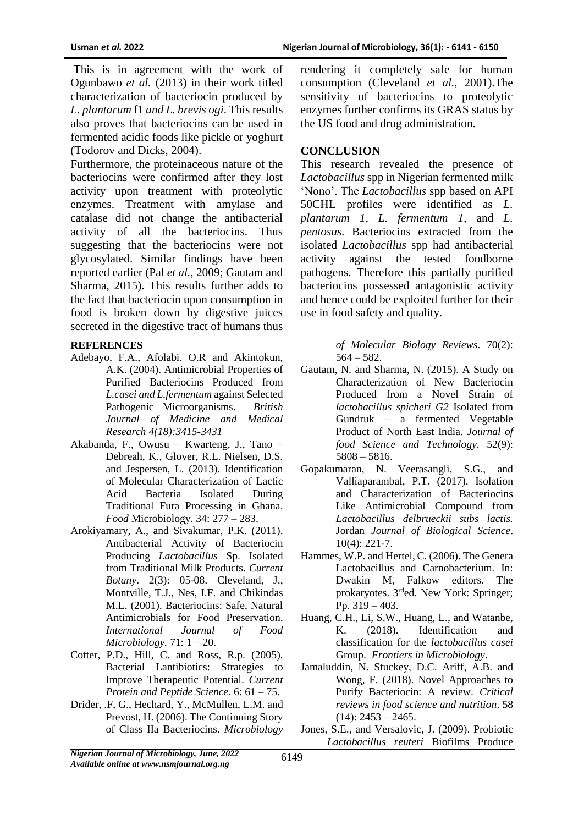This is in agreement with the work of Ogunbawo *et al.* (2013) in their work titled characterization of bacteriocin produced by *L. plantarum* f1 *and L. brevis ogi*. This results also proves that bacteriocins can be used in fermented acidic foods like pickle or yoghurt (Todorov and Dicks, 2004).

Furthermore, the proteinaceous nature of the bacteriocins were confirmed after they lost activity upon treatment with proteolytic enzymes. Treatment with amylase and catalase did not change the antibacterial activity of all the bacteriocins. Thus suggesting that the bacteriocins were not glycosylated. Similar findings have been reported earlier (Pal *et al.,* 2009; Gautam and Sharma, 2015). This results further adds to the fact that bacteriocin upon consumption in food is broken down by digestive juices secreted in the digestive tract of humans thus

#### **REFERENCES**

- Adebayo, F.A., Afolabi. O.R and Akintokun, A.K. (2004). Antimicrobial Properties of Purified Bacteriocins Produced from *L.casei and L.fermentum* against Selected Pathogenic Microorganisms. *British Journal of Medicine and Medical Research 4(18):3415-3431*
- Akabanda, F., Owusu Kwarteng, J., Tano Debreah, K., Glover, R.L. Nielsen, D.S. and Jespersen, L. (2013). Identification of Molecular Characterization of Lactic Acid Bacteria Isolated During Traditional Fura Processing in Ghana. *Food* Microbiology. 34: 277 – 283.
- Arokiyamary, A., and Sivakumar, P.K. (2011). Antibacterial Activity of Bacteriocin Producing *Lactobacillus* Sp. Isolated from Traditional Milk Products. *Current Botany*. 2(3): 05-08. Cleveland, J., Montville, T.J., Nes, I.F. and Chikindas M.L. (2001). Bacteriocins: Safe, Natural Antimicrobials for Food Preservation. *International Journal of Food Microbiology.* 71: 1 – 20.
- Cotter, P.D., Hill, C. and Ross, R.p. (2005). Bacterial Lantibiotics: Strategies to Improve Therapeutic Potential. *Current Protein and Peptide Science.* 6: 61 – 75.
- Drider, .F, G., Hechard, Y., McMullen, L.M. and Prevost, H. (2006). The Continuing Story of Class IIa Bacteriocins. *Microbiology*

rendering it completely safe for human consumption (Cleveland *et al.,* 2001).The sensitivity of bacteriocins to proteolytic enzymes further confirms its GRAS status by the US food and drug administration.

### **CONCLUSION**

This research revealed the presence of *Lactobacillus* spp in Nigerian fermented milk 'Nono'. The *Lactobacillus* spp based on API 50CHL profiles were identified as *L. plantarum 1, L. fermentum 1,* and *L. pentosus.* Bacteriocins extracted from the isolated *Lactobacillus* spp had antibacterial activity against the tested foodborne pathogens. Therefore this partially purified bacteriocins possessed antagonistic activity and hence could be exploited further for their use in food safety and quality.

> *of Molecular Biology Reviews*. 70(2): 564 – 582.

- Gautam, N. and Sharma, N. (2015). A Study on Characterization of New Bacteriocin Produced from a Novel Strain of *lactobacillus spicheri G2* Isolated from Gundruk – a fermented Vegetable Product of North East India. *Journal of food Science and Technology.* 52(9): 5808 – 5816.
- Gopakumaran, N. Veerasangli, S.G., and Valliaparambal, P.T. (2017). Isolation and Characterization of Bacteriocins Like Antimicrobial Compound from *Lactobacillus delbrueckii subs lactis.*  Jordan *Journal of Biological Science*. 10(4): 221-7.
- Hammes, W.P. and Hertel, C. (2006). The Genera Lactobacillus and Carnobacterium. In: Dwakin M, Falkow editors. The prokaryotes. 3rded. New York: Springer; Pp. 319 – 403.
- Huang, C.H., Li, S.W., Huang, L., and Watanbe, K. (2018). Identification and classification for the *lactobacillus casei*  Group. *Frontiers in Microbiology*.
- Jamaluddin, N. Stuckey, D.C. Ariff, A.B. and Wong, F. (2018). Novel Approaches to Purify Bacteriocin: A review. *Critical reviews in food science and nutrition*. 58  $(14): 2453 - 2465.$
- Jones, S.E., and Versalovic, J. (2009). Probiotic *Lactobacillus reuteri* Biofilms Produce

*Nigerian Journal of Microbiology, June, 2022 Available online at www.nsmjournal.org.ng*